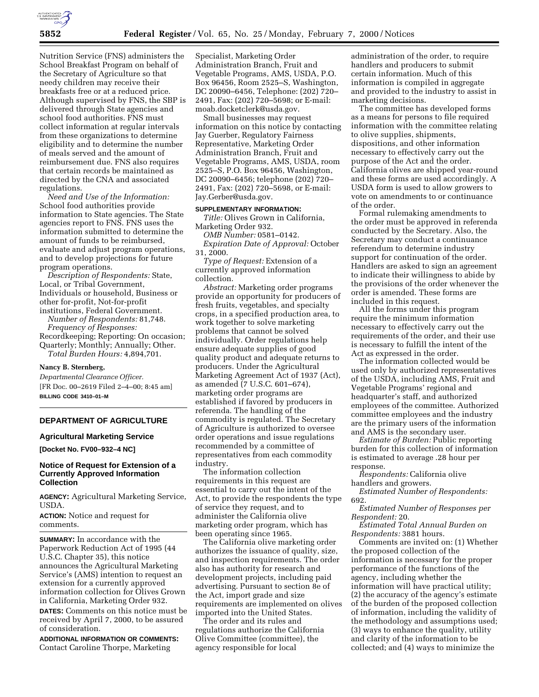

Nutrition Service (FNS) administers the School Breakfast Program on behalf of the Secretary of Agriculture so that needy children may receive their breakfasts free or at a reduced price. Although supervised by FNS, the SBP is delivered through State agencies and school food authorities. FNS must collect information at regular intervals from these organizations to determine eligibility and to determine the number of meals served and the amount of reimbursement due. FNS also requires that certain records be maintained as directed by the CNA and associated regulations.

*Need and Use of the Information:* School food authorities provide information to State agencies. The State agencies report to FNS. FNS uses the information submitted to determine the amount of funds to be reimbursed, evaluate and adjust program operations, and to develop projections for future program operations.

*Description of Respondents:* State, Local, or Tribal Government, Individuals or household, Business or other for-profit, Not-for-profit institutions, Federal Government.

*Number of Respondents:* 81,748. *Frequency of Responses:* Recordkeeping; Reporting: On occasion; Quarterly; Monthly; Annually; Other. *Total Burden Hours:* 4,894,701.

#### **Nancy B. Sternberg,**

*Departmental Clearance Officer.* [FR Doc. 00–2619 Filed 2–4–00; 8:45 am] **BILLING CODE 3410–01–M**

# **DEPARTMENT OF AGRICULTURE**

## **Agricultural Marketing Service**

**[Docket No. FV00–932–4 NC]**

## **Notice of Request for Extension of a Currently Approved Information Collection**

**AGENCY:** Agricultural Marketing Service, USDA.

**ACTION:** Notice and request for comments.

**SUMMARY:** In accordance with the Paperwork Reduction Act of 1995 (44 U.S.C. Chapter 35), this notice announces the Agricultural Marketing Service's (AMS) intention to request an extension for a currently approved information collection for Olives Grown in California, Marketing Order 932.

**DATES:** Comments on this notice must be received by April 7, 2000, to be assured of consideration.

**ADDITIONAL INFORMATION OR COMMENTS:** Contact Caroline Thorpe, Marketing

Specialist, Marketing Order Administration Branch, Fruit and Vegetable Programs, AMS, USDA, P.O. Box 96456, Room 2525–S, Washington, DC 20090–6456, Telephone: (202) 720– 2491, Fax: (202) 720–5698; or E-mail: moab.docketclerk@usda.gov.

Small businesses may request information on this notice by contacting Jay Guerber, Regulatory Fairness Representative, Marketing Order Administration Branch, Fruit and Vegetable Programs, AMS, USDA, room 2525–S, P.O. Box 96456, Washington, DC 20090–6456; telephone (202) 720– 2491, Fax: (202) 720–5698, or E-mail: Jay.Gerber@usda.gov.

## **SUPPLEMENTARY INFORMATION:**

*Title:* Olives Grown in California, Marketing Order 932.

*OMB Number:* 0581–0142. *Expiration Date of Approval:* October 31, 2000.

*Type of Request:* Extension of a currently approved information collection.

*Abstract:* Marketing order programs provide an opportunity for producers of fresh fruits, vegetables, and specialty crops, in a specified production area, to work together to solve marketing problems that cannot be solved individually. Order regulations help ensure adequate supplies of good quality product and adequate returns to producers. Under the Agricultural Marketing Agreement Act of 1937 (Act), as amended (7 U.S.C. 601–674), marketing order programs are established if favored by producers in referenda. The handling of the commodity is regulated. The Secretary of Agriculture is authorized to oversee order operations and issue regulations recommended by a committee of representatives from each commodity industry.

The information collection requirements in this request are essential to carry out the intent of the Act, to provide the respondents the type of service they request, and to administer the California olive marketing order program, which has been operating since 1965.

The California olive marketing order authorizes the issuance of quality, size, and inspection requirements. The order also has authority for research and development projects, including paid advertising. Pursuant to section 8e of the Act, import grade and size requirements are implemented on olives imported into the United States.

The order and its rules and regulations authorize the California Olive Committee (committee), the agency responsible for local

administration of the order, to require handlers and producers to submit certain information. Much of this information is compiled in aggregate and provided to the industry to assist in marketing decisions.

The committee has developed forms as a means for persons to file required information with the committee relating to olive supplies, shipments, dispositions, and other information necessary to effectively carry out the purpose of the Act and the order. California olives are shipped year-round and these forms are used accordingly. A USDA form is used to allow growers to vote on amendments to or continuance of the order.

Formal rulemaking amendments to the order must be approved in referenda conducted by the Secretary. Also, the Secretary may conduct a continuance referendum to determine industry support for continuation of the order. Handlers are asked to sign an agreement to indicate their willingness to abide by the provisions of the order whenever the order is amended. These forms are included in this request.

All the forms under this program require the minimum information necessary to effectively carry out the requirements of the order, and their use is necessary to fulfill the intent of the Act as expressed in the order.

The information collected would be used only by authorized representatives of the USDA, including AMS, Fruit and Vegetable Programs' regional and headquarter's staff, and authorized employees of the committee. Authorized committee employees and the industry are the primary users of the information and AMS is the secondary user.

*Estimate of Burden:* Public reporting burden for this collection of information is estimated to average .28 hour per response.

*Respondents:* California olive handlers and growers.

*Estimated Number of Respondents:* 692.

*Estimated Number of Responses per Respondent:* 20.

*Estimated Total Annual Burden on Respondents:* 3881 hours.

Comments are invited on: (1) Whether the proposed collection of the information is necessary for the proper performance of the functions of the agency, including whether the information will have practical utility; (2) the accuracy of the agency's estimate of the burden of the proposed collection of information, including the validity of the methodology and assumptions used; (3) ways to enhance the quality, utility and clarity of the information to be collected; and (4) ways to minimize the